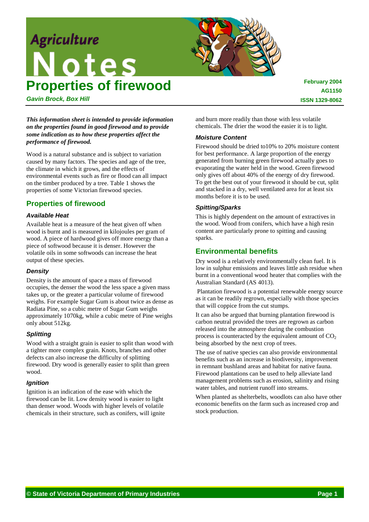# **Agriculture Notes Properties of firewood**



*Gavin Brock, Box Hill*

*This information sheet is intended to provide information on the properties found in good firewood and to provide some indication as to how these properties affect the performance of firewood.*

Wood is a natural substance and is subject to variation caused by many factors. The species and age of the tree, the climate in which it grows, and the effects of environmental events such as fire or flood can all impact on the timber produced by a tree. Table 1 shows the properties of some Victorian firewood species.

## **Properties of firewood**

#### *Available Heat*

Available heat is a measure of the heat given off when wood is burnt and is measured in kilojoules per gram of wood. A piece of hardwood gives off more energy than a piece of softwood because it is denser. However the volatile oils in some softwoods can increase the heat output of these species.

#### *Density*

Density is the amount of space a mass of firewood occupies, the denser the wood the less space a given mass takes up, or the greater a particular volume of firewood weighs. For example Sugar Gum is about twice as dense as Radiata Pine, so a cubic metre of Sugar Gum weighs approximately 1070kg, while a cubic metre of Pine weighs only about 512kg.

#### *Splitting*

Wood with a straight grain is easier to split than wood with a tighter more complex grain. Knots, branches and other defects can also increase the difficulty of splitting firewood. Dry wood is generally easier to split than green wood.

#### *Ignition*

Ignition is an indication of the ease with which the firewood can be lit. Low density wood is easier to light than denser wood. Woods with higher levels of volatile chemicals in their structure, such as conifers, will ignite and burn more readily than those with less volatile chemicals. The drier the wood the easier it is to light.

#### *Moisture Content*

Firewood should be dried to10% to 20% moisture content for best performance. A large proportion of the energy generated from burning green firewood actually goes to evaporating the water held in the wood. Green firewood only gives off about 40% of the energy of dry firewood. To get the best out of your firewood it should be cut, split and stacked in a dry, well ventilated area for at least six months before it is to be used.

#### *Spitting/Sparks*

This is highly dependent on the amount of extractives in the wood. Wood from conifers, which have a high resin content are particularly prone to spitting and causing sparks.

## **Environmental benefits**

Dry wood is a relatively environmentally clean fuel. It is low in sulphur emissions and leaves little ash residue when burnt in a conventional wood heater that complies with the Australian Standard (AS 4013).

 Plantation firewood is a potential renewable energy source as it can be readily regrown, especially with those species that will coppice from the cut stumps.

It can also be argued that burning plantation firewood is carbon neutral provided the trees are regrown as carbon released into the atmosphere during the combustion process is counteracted by the equivalent amount of  $CO<sub>2</sub>$ being absorbed by the next crop of trees.

The use of native species can also provide environmental benefits such as an increase in biodiversity, improvement in remnant bushland areas and habitat for native fauna. Firewood plantations can be used to help alleviate land management problems such as erosion, salinity and rising water tables, and nutrient runoff into streams.

When planted as shelterbelts, woodlots can also have other economic benefits on the farm such as increased crop and stock production.